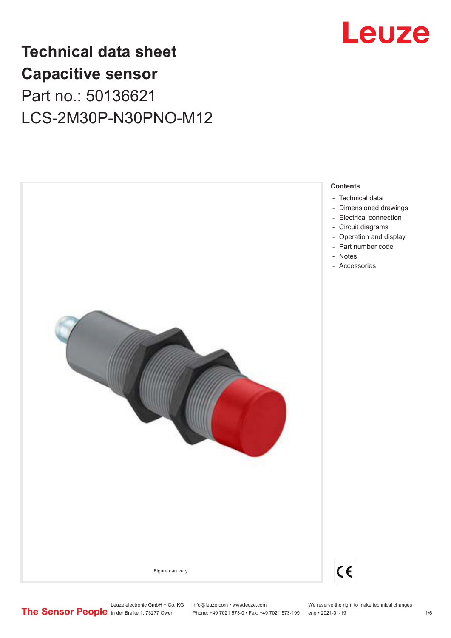

## **Technical data sheet Capacitive sensor** Part no.: 50136621 LCS-2M30P-N30PNO-M12



- [Technical data](#page-1-0)
- [Dimensioned drawings](#page-2-0)
- [Electrical connection](#page-3-0)
- [Circuit diagrams](#page-3-0) - [Operation and display](#page-3-0)
- [Part number code](#page-3-0)
- [Notes](#page-4-0)
- Accessories



Leuze electronic GmbH + Co. KG info@leuze.com • www.leuze.com We reserve the right to make technical changes<br>
The Sensor People in der Braike 1, 73277 Owen Phone: +49 7021 573-0 • Fax: +49 7021 573-199 eng • 2021-01-19

Phone: +49 7021 573-0 • Fax: +49 7021 573-199 eng • 2021-01-19

 $c \epsilon$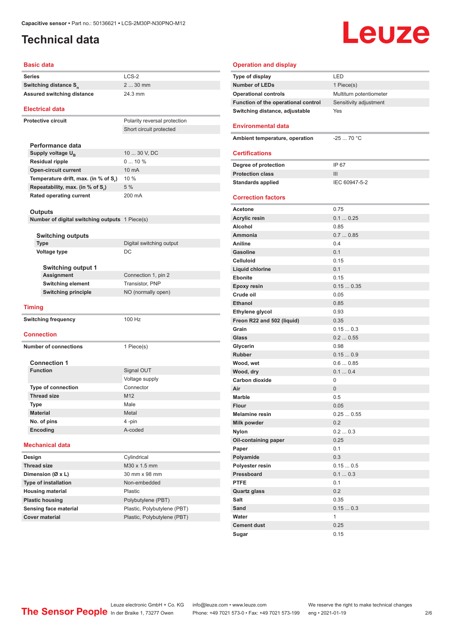## <span id="page-1-0"></span>**Technical data**

#### **Basic data**

| <b>Series</b>                                             | LCS-2                        |  |  |
|-----------------------------------------------------------|------------------------------|--|--|
| Switching distance S <sub>n</sub>                         | 2  30 mm                     |  |  |
| <b>Assured switching distance</b>                         | 24.3 mm                      |  |  |
| <b>Electrical data</b>                                    |                              |  |  |
| <b>Protective circuit</b>                                 | Polarity reversal protection |  |  |
|                                                           | Short circuit protected      |  |  |
|                                                           |                              |  |  |
| Performance data                                          |                              |  |  |
| Supply voltage U <sub>B</sub>                             | 10  30 V, DC                 |  |  |
| <b>Residual ripple</b>                                    | 010%<br>10 mA                |  |  |
| <b>Open-circuit current</b>                               |                              |  |  |
| Temperature drift, max. (in % of S.)                      | 10 %                         |  |  |
| Repeatability, max. (in % of S <sub>r</sub> )             | 5 %                          |  |  |
| <b>Rated operating current</b>                            | 200 mA                       |  |  |
|                                                           |                              |  |  |
| Outputs<br>Number of digital switching outputs 1 Piece(s) |                              |  |  |
|                                                           |                              |  |  |
| <b>Switching outputs</b>                                  |                              |  |  |
| <b>Type</b>                                               | Digital switching output     |  |  |
| <b>Voltage type</b>                                       | DC                           |  |  |
|                                                           |                              |  |  |
| <b>Switching output 1</b>                                 |                              |  |  |
| Assignment                                                | Connection 1, pin 2          |  |  |
| <b>Switching element</b>                                  | Transistor, PNP              |  |  |
| <b>Switching principle</b>                                | NO (normally open)           |  |  |
| <b>Timing</b>                                             |                              |  |  |
| <b>Switching frequency</b>                                | 100 Hz                       |  |  |
|                                                           |                              |  |  |
| <b>Connection</b>                                         |                              |  |  |
| <b>Number of connections</b>                              | 1 Piece(s)                   |  |  |
|                                                           |                              |  |  |
| <b>Connection 1</b>                                       |                              |  |  |
| <b>Function</b>                                           | Signal OUT                   |  |  |
|                                                           | Voltage supply               |  |  |
| <b>Type of connection</b>                                 | Connector                    |  |  |
| <b>Thread size</b>                                        | M <sub>12</sub>              |  |  |
| Type                                                      | Male                         |  |  |
| <b>Material</b>                                           | Metal                        |  |  |
| No. of pins                                               | 4-pin                        |  |  |
| <b>Encoding</b>                                           | A-coded                      |  |  |
| <b>Mechanical data</b>                                    |                              |  |  |
| Design                                                    | Cylindrical                  |  |  |
| <b>Thread size</b>                                        | M30 x 1.5 mm                 |  |  |
| Dimension (Ø x L)                                         | 30 mm x 98 mm                |  |  |
| Type of installation                                      | Non-embedded                 |  |  |
| <b>Housing material</b>                                   | Plastic                      |  |  |
| <b>Plastic housing</b>                                    | Polybutylene (PBT)           |  |  |
| Sensing face material                                     | Plastic, Polybutylene (PBT)  |  |  |

# **Leuze**

#### **Operation and display**

| Type of display                     | LED                     |
|-------------------------------------|-------------------------|
| <b>Number of LEDs</b>               | 1 Piece(s)              |
| <b>Operational controls</b>         | Multiturn potentiometer |
| Function of the operational control | Sensitivity adjustment  |
| Switching distance, adjustable      | Yes                     |
| Environmental data                  |                         |
| Ambient temperature, operation      | $-2570 °C$              |
| <b>Certifications</b>               |                         |
| Degree of protection                | IP 67                   |
| <b>Protection class</b>             | Ш                       |
| <b>Standards applied</b>            | IEC 60947-5-2           |
| <b>Correction factors</b>           |                         |
|                                     |                         |
| Acetone                             | 0.75                    |
| <b>Acrylic resin</b>                | 0.10.25                 |
| <b>Alcohol</b>                      | 0.85                    |
| Ammonia                             | 0.70.85                 |
| <b>Aniline</b>                      | 0.4                     |
| Gasoline                            | 0.1                     |
| <b>Celluloid</b>                    | 0.15                    |
| <b>Liquid chlorine</b>              | 0.1                     |
| <b>Ebonite</b>                      | 0.15                    |
| <b>Epoxy resin</b>                  | 0.150.35                |
| Crude oil                           | 0.05                    |
| <b>Ethanol</b>                      | 0.85                    |
| Ethylene glycol                     | 0.93                    |
| Freon R22 and 502 (liquid)          | 0.35                    |
| Grain                               | 0.150.3                 |
| Glass                               | 0.20.55                 |
| Glycerin                            | 0.98                    |
| <b>Rubber</b>                       | 0.150.9                 |
| Wood, wet                           | 0.60.85                 |
| Wood, dry                           | 0.10.4                  |
| <b>Carbon dioxide</b>               | 0                       |
| Air                                 | $\overline{0}$          |
| <b>Marble</b>                       | 0.5                     |
| Flour                               | 0.05                    |
| <b>Melamine resin</b>               | 0.250.55                |
| Milk powder                         | 0.2                     |
| <b>Nylon</b>                        | 0.20.3                  |
| Oil-containing paper                | 0.25                    |
| Paper                               | 0.1                     |
| Polyamide                           | 0.3                     |
| Polyester resin                     | 0.150.5                 |
| Pressboard                          | 0.10.3                  |
| <b>PTFE</b>                         | 0.1                     |
| <b>Quartz glass</b>                 | 0.2                     |
| Salt                                | 0.35                    |
| Sand                                | 0.150.3                 |
| Water                               | 1                       |
| <b>Cement dust</b>                  | 0.25                    |
| Sugar                               | 0.15                    |

**Cover material Cover material** Plastic, Polybutylene (PBT)

Leuze electronic GmbH + Co. KG info@leuze.com • www.leuze.com We reserve the right to make technical changes ln der Braike 1, 73277 Owen Phone: +49 7021 573-0 • Fax: +49 7021 573-199 eng • 2021-01-19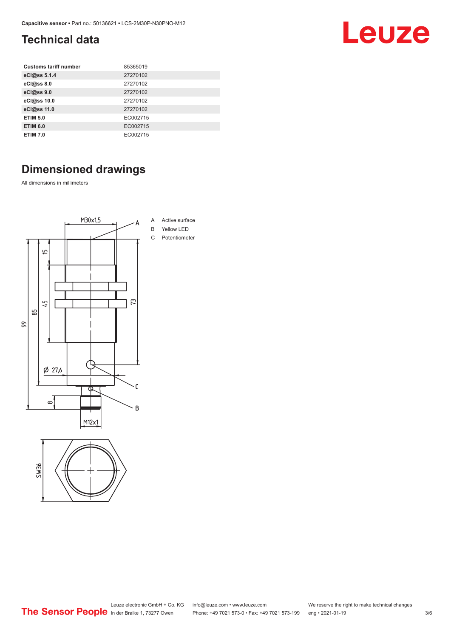## <span id="page-2-0"></span>**Technical data**

| <b>Customs tariff number</b> | 85365019 |
|------------------------------|----------|
| eCl@ss 5.1.4                 | 27270102 |
| eCl@ss 8.0                   | 27270102 |
| eCl@ss 9.0                   | 27270102 |
| eCl@ss 10.0                  | 27270102 |
| eCl@ss 11.0                  | 27270102 |
| <b>ETIM 5.0</b>              | EC002715 |
| <b>ETIM 6.0</b>              | EC002715 |
| <b>ETIM 7.0</b>              | EC002715 |

## **Dimensioned drawings**

All dimensions in millimeters





## Leuze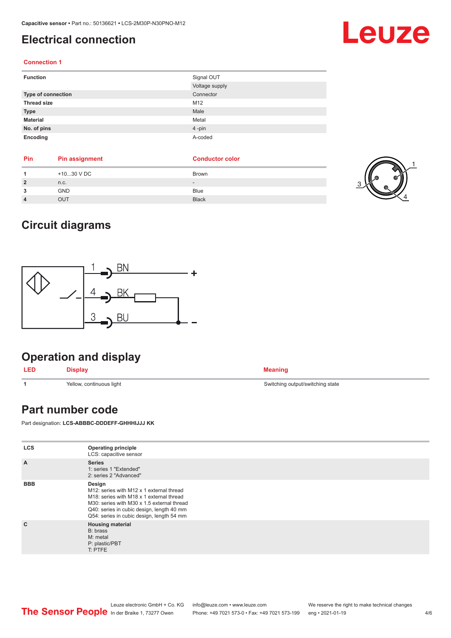## <span id="page-3-0"></span>**Electrical connection**

#### **Connection 1**

| <b>Function</b>           | Signal OUT     |
|---------------------------|----------------|
|                           | Voltage supply |
| <b>Type of connection</b> | Connector      |
| <b>Thread size</b>        | M12            |
| <b>Type</b>               | Male           |
| <b>Material</b>           | Metal          |
| No. of pins               | 4-pin          |
| Encoding                  | A-coded        |

| <b>Pin</b>     | <b>Pin assignment</b> | <b>Conductor color</b>       |  |
|----------------|-----------------------|------------------------------|--|
|                | +1030 V DC            | Brown                        |  |
| $\overline{2}$ | n.c.                  | $\qquad \qquad \blacksquare$ |  |
| 3              | <b>GND</b>            | <b>Blue</b>                  |  |
|                | OUT                   | <b>Black</b>                 |  |



Leuze

## **Circuit diagrams**



## **Operation and display**

| <b>LED</b> | <b>Display</b> | <b>Meaning</b> |
|------------|----------------|----------------|
|------------|----------------|----------------|

**1 1** Switching output/switching state Switching Switching Switching state Switching state

### **Part number code**

Part designation: **LCS-ABBBC-DDDEFF-GHHHIJJJ KK**

| <b>LCS</b>     | <b>Operating principle</b><br>LCS: capacitive sensor                                                                                                                                                                                   |
|----------------|----------------------------------------------------------------------------------------------------------------------------------------------------------------------------------------------------------------------------------------|
| $\overline{A}$ | <b>Series</b><br>1: series 1 "Extended"<br>2: series 2 "Advanced"                                                                                                                                                                      |
| <b>BBB</b>     | Design<br>M12: series with M12 x 1 external thread<br>M18: series with M18 x 1 external thread<br>M30: series with M30 x 1.5 external thread<br>Q40: series in cubic design, length 40 mm<br>Q54: series in cubic design, length 54 mm |
| $\mathbf{C}$   | <b>Housing material</b><br>B: brass<br>M: metal<br>P: plastic/PBT<br>T: PTFE                                                                                                                                                           |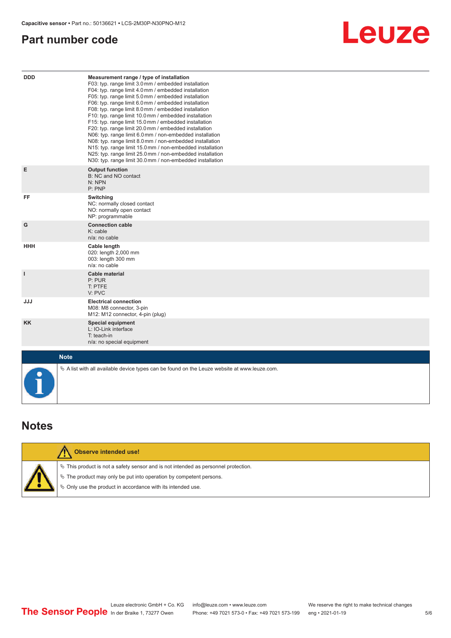## <span id="page-4-0"></span>**Part number code**



| <b>DDD</b>   | Measurement range / type of installation<br>F03: typ. range limit 3.0 mm / embedded installation<br>F04: typ. range limit 4.0 mm / embedded installation<br>F05: typ. range limit 5.0 mm / embedded installation<br>F06: typ. range limit 6.0 mm / embedded installation<br>F08: typ. range limit 8.0 mm / embedded installation<br>F10: typ. range limit 10.0 mm / embedded installation<br>F15: typ. range limit 15.0 mm / embedded installation<br>F20: typ. range limit 20.0 mm / embedded installation<br>N06: typ. range limit 6.0 mm / non-embedded installation<br>N08: typ. range limit 8.0 mm / non-embedded installation<br>N15: typ. range limit 15.0 mm / non-embedded installation<br>N25: typ. range limit 25.0 mm / non-embedded installation<br>N30: typ. range limit 30.0mm / non-embedded installation |
|--------------|---------------------------------------------------------------------------------------------------------------------------------------------------------------------------------------------------------------------------------------------------------------------------------------------------------------------------------------------------------------------------------------------------------------------------------------------------------------------------------------------------------------------------------------------------------------------------------------------------------------------------------------------------------------------------------------------------------------------------------------------------------------------------------------------------------------------------|
| E            | <b>Output function</b><br>B: NC and NO contact<br>N: NPN<br>P: PNP                                                                                                                                                                                                                                                                                                                                                                                                                                                                                                                                                                                                                                                                                                                                                        |
| FF           | Switching<br>NC: normally closed contact<br>NO: normally open contact<br>NP: programmable                                                                                                                                                                                                                                                                                                                                                                                                                                                                                                                                                                                                                                                                                                                                 |
| G            | <b>Connection cable</b><br>$K:$ cable<br>n/a: no cable                                                                                                                                                                                                                                                                                                                                                                                                                                                                                                                                                                                                                                                                                                                                                                    |
| <b>HHH</b>   | Cable length<br>020: length 2,000 mm<br>003: length 300 mm<br>n/a: no cable                                                                                                                                                                                                                                                                                                                                                                                                                                                                                                                                                                                                                                                                                                                                               |
| $\mathbf{I}$ | Cable material<br>P: PUR<br>T: PTFE<br>V: PVC                                                                                                                                                                                                                                                                                                                                                                                                                                                                                                                                                                                                                                                                                                                                                                             |
| <b>JJJ</b>   | <b>Electrical connection</b><br>M08: M8 connector, 3-pin<br>M12: M12 connector, 4-pin (plug)                                                                                                                                                                                                                                                                                                                                                                                                                                                                                                                                                                                                                                                                                                                              |
| <b>KK</b>    | <b>Special equipment</b><br>L: IO-Link interface<br>T: teach-in<br>n/a: no special equipment                                                                                                                                                                                                                                                                                                                                                                                                                                                                                                                                                                                                                                                                                                                              |
| <b>Note</b>  |                                                                                                                                                                                                                                                                                                                                                                                                                                                                                                                                                                                                                                                                                                                                                                                                                           |
|              | $\&$ A list with all available device types can be found on the Leuze website at www.leuze.com.                                                                                                                                                                                                                                                                                                                                                                                                                                                                                                                                                                                                                                                                                                                           |

## **Notes**

|  | Observe intended use!                                                                 |
|--|---------------------------------------------------------------------------------------|
|  | $\%$ This product is not a safety sensor and is not intended as personnel protection. |
|  | $\%$ The product may only be put into operation by competent persons.                 |
|  | § Only use the product in accordance with its intended use.                           |